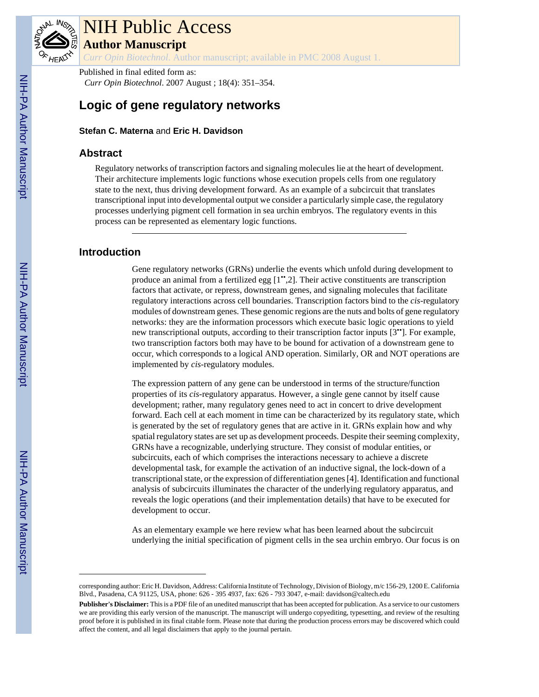

# NIH Public Access

**Author Manuscript**

*Curr Opin Biotechnol*. Author manuscript; available in PMC 2008 August 1.

Published in final edited form as: *Curr Opin Biotechnol*. 2007 August ; 18(4): 351–354.

## **Logic of gene regulatory networks**

**Stefan C. Materna** and **Eric H. Davidson**

#### **Abstract**

Regulatory networks of transcription factors and signaling molecules lie at the heart of development. Their architecture implements logic functions whose execution propels cells from one regulatory state to the next, thus driving development forward. As an example of a subcircuit that translates transcriptional input into developmental output we consider a particularly simple case, the regulatory processes underlying pigment cell formation in sea urchin embryos. The regulatory events in this process can be represented as elementary logic functions.

## **Introduction**

Gene regulatory networks (GRNs) underlie the events which unfold during development to produce an animal from a fertilized egg [1••,2]. Their active constituents are transcription factors that activate, or repress, downstream genes, and signaling molecules that facilitate regulatory interactions across cell boundaries. Transcription factors bind to the *cis*-regulatory modules of downstream genes. These genomic regions are the nuts and bolts of gene regulatory networks: they are the information processors which execute basic logic operations to yield new transcriptional outputs, according to their transcription factor inputs [3••]. For example, two transcription factors both may have to be bound for activation of a downstream gene to occur, which corresponds to a logical AND operation. Similarly, OR and NOT operations are implemented by *cis*-regulatory modules.

The expression pattern of any gene can be understood in terms of the structure/function properties of its *cis*-regulatory apparatus. However, a single gene cannot by itself cause development; rather, many regulatory genes need to act in concert to drive development forward. Each cell at each moment in time can be characterized by its regulatory state, which is generated by the set of regulatory genes that are active in it. GRNs explain how and why spatial regulatory states are set up as development proceeds. Despite their seeming complexity, GRNs have a recognizable, underlying structure. They consist of modular entities, or subcircuits, each of which comprises the interactions necessary to achieve a discrete developmental task, for example the activation of an inductive signal, the lock-down of a transcriptional state, or the expression of differentiation genes [4]. Identification and functional analysis of subcircuits illuminates the character of the underlying regulatory apparatus, and reveals the logic operations (and their implementation details) that have to be executed for development to occur.

As an elementary example we here review what has been learned about the subcircuit underlying the initial specification of pigment cells in the sea urchin embryo. Our focus is on

corresponding author: Eric H. Davidson, Address: California Institute of Technology, Division of Biology, m/c 156-29, 1200 E. California Blvd., Pasadena, CA 91125, USA, phone: 626 - 395 4937, fax: 626 - 793 3047, e-mail: davidson@caltech.edu

**Publisher's Disclaimer:** This is a PDF file of an unedited manuscript that has been accepted for publication. As a service to our customers we are providing this early version of the manuscript. The manuscript will undergo copyediting, typesetting, and review of the resulting proof before it is published in its final citable form. Please note that during the production process errors may be discovered which could affect the content, and all legal disclaimers that apply to the journal pertain.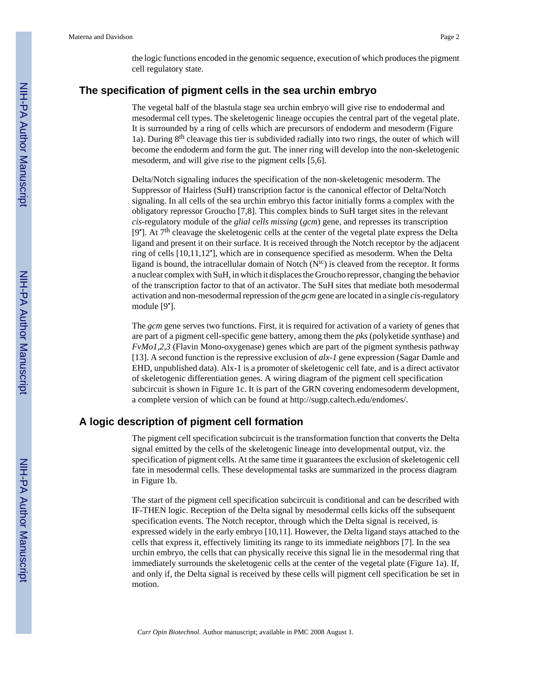the logic functions encoded in the genomic sequence, execution of which produces the pigment cell regulatory state.

#### **The specification of pigment cells in the sea urchin embryo**

The vegetal half of the blastula stage sea urchin embryo will give rise to endodermal and mesodermal cell types. The skeletogenic lineage occupies the central part of the vegetal plate. It is surrounded by a ring of cells which are precursors of endoderm and mesoderm (Figure 1a). During  $8<sup>th</sup>$  cleavage this tier is subdivided radially into two rings, the outer of which will become the endoderm and form the gut. The inner ring will develop into the non-skeletogenic mesoderm, and will give rise to the pigment cells [5,6].

Delta/Notch signaling induces the specification of the non-skeletogenic mesoderm. The Suppressor of Hairless (SuH) transcription factor is the canonical effector of Delta/Notch signaling. In all cells of the sea urchin embryo this factor initially forms a complex with the obligatory repressor Groucho [7,8]. This complex binds to SuH target sites in the relevant *cis*-regulatory module of the *glial cells missing* (*gcm*) gene, and represses its transcription [9<sup>\*</sup>]. At 7<sup>th</sup> cleavage the skeletogenic cells at the center of the vegetal plate express the Delta ligand and present it on their surface. It is received through the Notch receptor by the adjacent ring of cells [10,11,12• ], which are in consequence specified as mesoderm. When the Delta ligand is bound, the intracellular domain of Notch  $(N^{ic})$  is cleaved from the receptor. It forms a nuclear complex with SuH, in which it displaces the Groucho repressor, changing the behavior of the transcription factor to that of an activator. The SuH sites that mediate both mesodermal activation and non-mesodermal repression of the *gcm* gene are located in a single *cis*-regulatory module [9<sup>•</sup>].

The *gcm* gene serves two functions. First, it is required for activation of a variety of genes that are part of a pigment cell-specific gene battery, among them the *pks* (polyketide synthase) and *FvMo1,2,3* (Flavin Mono-oxygenase) genes which are part of the pigment synthesis pathway [13]. A second function is the repressive exclusion of *alx-1* gene expression (Sagar Damle and EHD, unpublished data). Alx-1 is a promoter of skeletogenic cell fate, and is a direct activator of skeletogenic differentiation genes. A wiring diagram of the pigment cell specification subcircuit is shown in Figure 1c. It is part of the GRN covering endomesoderm development, a complete version of which can be found at http://sugp.caltech.edu/endomes/.

#### **A logic description of pigment cell formation**

The pigment cell specification subcircuit is the transformation function that converts the Delta signal emitted by the cells of the skeletogenic lineage into developmental output, viz. the specification of pigment cells. At the same time it guarantees the exclusion of skeletogenic cell fate in mesodermal cells. These developmental tasks are summarized in the process diagram in Figure 1b.

The start of the pigment cell specification subcircuit is conditional and can be described with IF-THEN logic. Reception of the Delta signal by mesodermal cells kicks off the subsequent specification events. The Notch receptor, through which the Delta signal is received, is expressed widely in the early embryo [10,11]. However, the Delta ligand stays attached to the cells that express it, effectively limiting its range to its immediate neighbors [7]. In the sea urchin embryo, the cells that can physically receive this signal lie in the mesodermal ring that immediately surrounds the skeletogenic cells at the center of the vegetal plate (Figure 1a). If, and only if, the Delta signal is received by these cells will pigment cell specification be set in motion.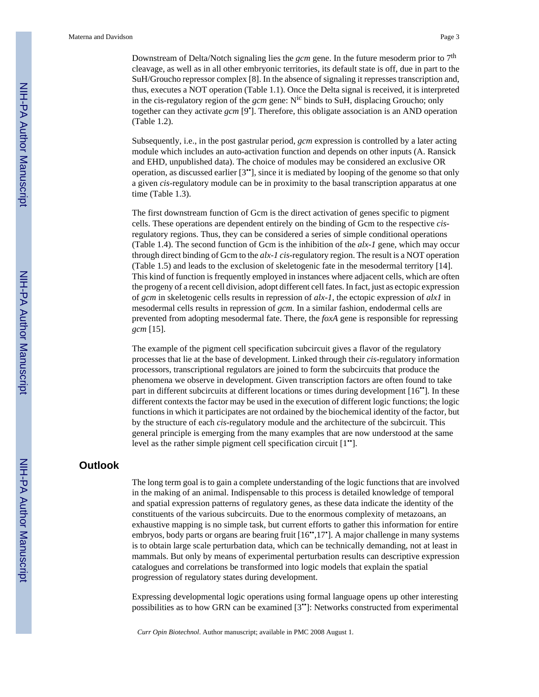Downstream of Delta/Notch signaling lies the *gcm* gene. In the future mesoderm prior to 7th cleavage, as well as in all other embryonic territories, its default state is off, due in part to the SuH/Groucho repressor complex [8]. In the absence of signaling it represses transcription and, thus, executes a NOT operation (Table 1.1). Once the Delta signal is received, it is interpreted in the cis-regulatory region of the *gcm* gene: Nic binds to SuH, displacing Groucho; only together can they activate *gcm* [9• ]. Therefore, this obligate association is an AND operation (Table 1.2).

Subsequently, i.e., in the post gastrular period, *gcm* expression is controlled by a later acting module which includes an auto-activation function and depends on other inputs (A. Ransick and EHD, unpublished data). The choice of modules may be considered an exclusive OR operation, as discussed earlier [3 ••], since it is mediated by looping of the genome so that only a given *cis*-regulatory module can be in proximity to the basal transcription apparatus at one time (Table 1.3).

The first downstream function of Gcm is the direct activation of genes specific to pigment cells. These operations are dependent entirely on the binding of Gcm to the respective *cis*regulatory regions. Thus, they can be considered a series of simple conditional operations (Table 1.4). The second function of Gcm is the inhibition of the *alx-1* gene, which may occur through direct binding of Gcm to the *alx-1 cis*-regulatory region. The result is a NOT operation (Table 1.5) and leads to the exclusion of skeletogenic fate in the mesodermal territory [14]. This kind of function is frequently employed in instances where adjacent cells, which are often the progeny of a recent cell division, adopt different cell fates. In fact, just as ectopic expression of *gcm* in skeletogenic cells results in repression of *alx-1*, the ectopic expression of *alx1* in mesodermal cells results in repression of *gcm.* In a similar fashion, endodermal cells are prevented from adopting mesodermal fate. There, the *foxA* gene is responsible for repressing *gcm* [15].

The example of the pigment cell specification subcircuit gives a flavor of the regulatory processes that lie at the base of development. Linked through their *cis*-regulatory information processors, transcriptional regulators are joined to form the subcircuits that produce the phenomena we observe in development. Given transcription factors are often found to take part in different subcircuits at different locations or times during development [16••]. In these different contexts the factor may be used in the execution of different logic functions; the logic functions in which it participates are not ordained by the biochemical identity of the factor, but by the structure of each *cis*-regulatory module and the architecture of the subcircuit. This general principle is emerging from the many examples that are now understood at the same level as the rather simple pigment cell specification circuit [1••].

#### **Outlook**

The long term goal is to gain a complete understanding of the logic functions that are involved in the making of an animal. Indispensable to this process is detailed knowledge of temporal and spatial expression patterns of regulatory genes, as these data indicate the identity of the constituents of the various subcircuits. Due to the enormous complexity of metazoans, an exhaustive mapping is no simple task, but current efforts to gather this information for entire embryos, body parts or organs are bearing fruit [16",17"]. A major challenge in many systems is to obtain large scale perturbation data, which can be technically demanding, not at least in mammals. But only by means of experimental perturbation results can descriptive expression catalogues and correlations be transformed into logic models that explain the spatial progression of regulatory states during development.

Expressing developmental logic operations using formal language opens up other interesting possibilities as to how GRN can be examined [3••]: Networks constructed from experimental

*Curr Opin Biotechnol*. Author manuscript; available in PMC 2008 August 1.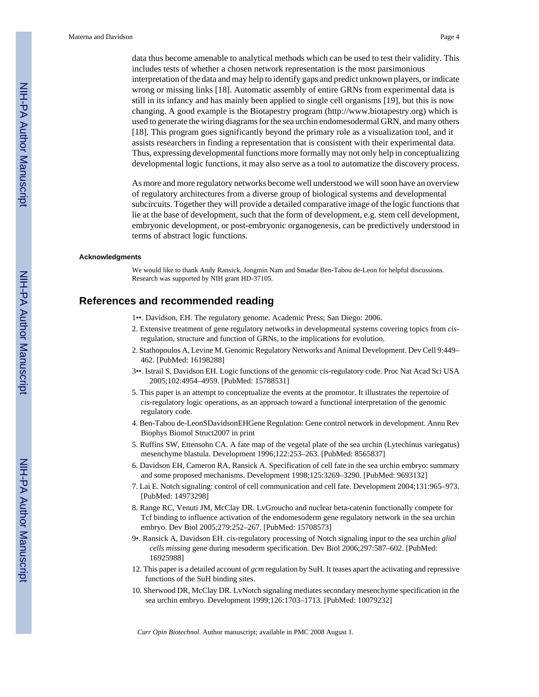data thus become amenable to analytical methods which can be used to test their validity. This includes tests of whether a chosen network representation is the most parsimonious interpretation of the data and may help to identify gaps and predict unknown players, or indicate wrong or missing links [18]. Automatic assembly of entire GRNs from experimental data is still in its infancy and has mainly been applied to single cell organisms [19], but this is now changing. A good example is the Biotapestry program (http://www.biotapestry.org) which is used to generate the wiring diagrams for the sea urchin endomesodermal GRN, and many others [18]. This program goes significantly beyond the primary role as a visualization tool, and it assists researchers in finding a representation that is consistent with their experimental data. Thus, expressing developmental functions more formally may not only help in conceptualizing developmental logic functions, it may also serve as a tool to automatize the discovery process.

As more and more regulatory networks become well understood we will soon have an overview of regulatory architectures from a diverse group of biological systems and developmental subcircuits. Together they will provide a detailed comparative image of the logic functions that lie at the base of development, such that the form of development, e.g. stem cell development, embryonic development, or post-embryonic organogenesis, can be predictively understood in terms of abstract logic functions.

#### **Acknowledgments**

We would like to thank Andy Ransick, Jongmin Nam and Smadar Ben-Tabou de-Leon for helpful discussions. Research was supported by NIH grant HD-37105.

### **References and recommended reading**

- 1••. Davidson, EH. The regulatory genome. Academic Press; San Diego: 2006.
- 2. Extensive treatment of gene regulatory networks in developmental systems covering topics from *cis*regulation, structure and function of GRNs, to the implications for evolution.
- 2. Stathopoulos A, Levine M. Genomic Regulatory Networks and Animal Development. Dev Cell 9:449– 462. [PubMed: 16198288]
- 3••. Istrail S, Davidson EH. Logic functions of the genomic cis-regulatory code. Proc Nat Acad Sci USA 2005;102:4954–4959. [PubMed: 15788531]
- 5. This paper is an attempt to conceptualize the events at the promotor. It illustrates the repertoire of *cis*-regulatory logic operations, as an approach toward a functional interpretation of the genomic regulatory code.
- 4. Ben-Tabou de-LeonSDavidsonEHGene Regulation: Gene control network in development. Annu Rev Biophys Biomol Struct2007 in print
- 5. Ruffins SW, Ettensohn CA. A fate map of the vegetal plate of the sea urchin (Lytechinus variegatus) mesenchyme blastula. Development 1996;122:253–263. [PubMed: 8565837]
- 6. Davidson EH, Cameron RA, Ransick A. Specification of cell fate in the sea urchin embryo: summary and some proposed mechanisms. Development 1998;125:3269–3290. [PubMed: 9693132]
- 7. Lai E. Notch signaling: control of cell communication and cell fate. Development 2004;131:965–973. [PubMed: 14973298]
- 8. Range RC, Venuti JM, McClay DR. LvGroucho and nuclear beta-catenin functionally compete for Tcf binding to influence activation of the endomesoderm gene regulatory network in the sea urchin embryo. Dev Biol 2005;279:252–267. [PubMed: 15708573]
- 9•. Ransick A, Davidson EH. cis-regulatory processing of Notch signaling input to the sea urchin *glial cells missing* gene during mesoderm specification. Dev Biol 2006;297:587–602. [PubMed: 16925988]
- 12. This paper is a detailed account of *gcm* regulation by SuH. It teases apart the activating and repressive functions of the SuH binding sites.
- 10. Sherwood DR, McClay DR. LvNotch signaling mediates secondary mesenchyme specification in the sea urchin embryo. Development 1999;126:1703–1713. [PubMed: 10079232]

*Curr Opin Biotechnol*. Author manuscript; available in PMC 2008 August 1.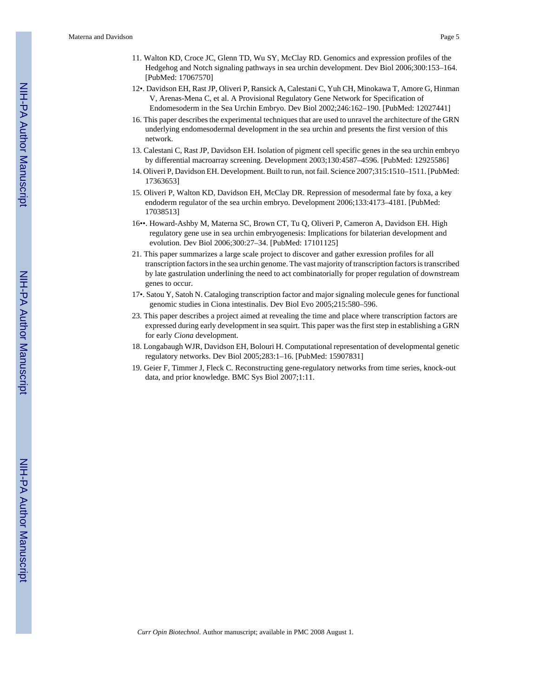- 11. Walton KD, Croce JC, Glenn TD, Wu SY, McClay RD. Genomics and expression profiles of the Hedgehog and Notch signaling pathways in sea urchin development. Dev Biol 2006;300:153–164. [PubMed: 17067570]
- 12•. Davidson EH, Rast JP, Oliveri P, Ransick A, Calestani C, Yuh CH, Minokawa T, Amore G, Hinman V, Arenas-Mena C, et al. A Provisional Regulatory Gene Network for Specification of Endomesoderm in the Sea Urchin Embryo. Dev Biol 2002;246:162–190. [PubMed: 12027441]
- 16. This paper describes the experimental techniques that are used to unravel the architecture of the GRN underlying endomesodermal development in the sea urchin and presents the first version of this network.
- 13. Calestani C, Rast JP, Davidson EH. Isolation of pigment cell specific genes in the sea urchin embryo by differential macroarray screening. Development 2003;130:4587–4596. [PubMed: 12925586]
- 14. Oliveri P, Davidson EH. Development. Built to run, not fail. Science 2007;315:1510–1511. [PubMed: 17363653]
- 15. Oliveri P, Walton KD, Davidson EH, McClay DR. Repression of mesodermal fate by foxa, a key endoderm regulator of the sea urchin embryo. Development 2006;133:4173–4181. [PubMed: 17038513]
- 16••. Howard-Ashby M, Materna SC, Brown CT, Tu Q, Oliveri P, Cameron A, Davidson EH. High regulatory gene use in sea urchin embryogenesis: Implications for bilaterian development and evolution. Dev Biol 2006;300:27–34. [PubMed: 17101125]
- 21. This paper summarizes a large scale project to discover and gather exression profiles for all transcription factors in the sea urchin genome. The vast majority of transcription factors is transcribed by late gastrulation underlining the need to act combinatorially for proper regulation of downstream genes to occur.
- 17•. Satou Y, Satoh N. Cataloging transcription factor and major signaling molecule genes for functional genomic studies in Ciona intestinalis. Dev Biol Evo 2005;215:580–596.
- 23. This paper describes a project aimed at revealing the time and place where transcription factors are expressed during early development in sea squirt. This paper was the first step in establishing a GRN for early *Ciona* development.
- 18. Longabaugh WJR, Davidson EH, Bolouri H. Computational representation of developmental genetic regulatory networks. Dev Biol 2005;283:1–16. [PubMed: 15907831]
- 19. Geier F, Timmer J, Fleck C. Reconstructing gene-regulatory networks from time series, knock-out data, and prior knowledge. BMC Sys Biol 2007;1:11.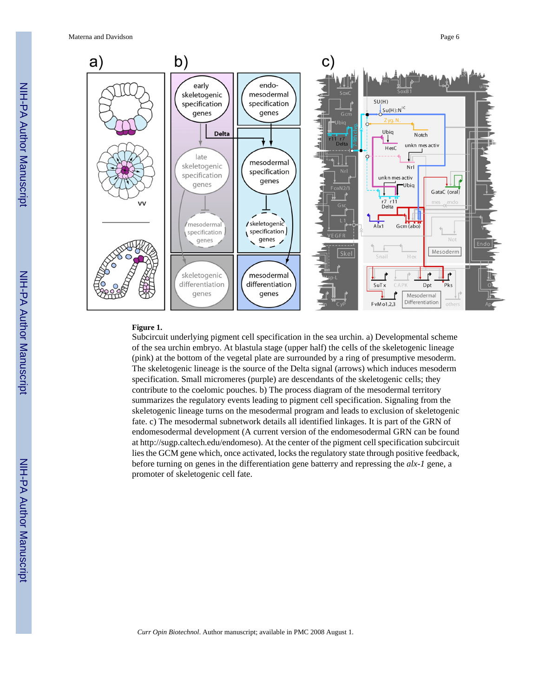Materna and Davidson **Page 6 Page 6** 



#### **Figure 1.**

Subcircuit underlying pigment cell specification in the sea urchin. a) Developmental scheme of the sea urchin embryo. At blastula stage (upper half) the cells of the skeletogenic lineage (pink) at the bottom of the vegetal plate are surrounded by a ring of presumptive mesoderm. The skeletogenic lineage is the source of the Delta signal (arrows) which induces mesoderm specification. Small micromeres (purple) are descendants of the skeletogenic cells; they contribute to the coelomic pouches. b) The process diagram of the mesodermal territory summarizes the regulatory events leading to pigment cell specification. Signaling from the skeletogenic lineage turns on the mesodermal program and leads to exclusion of skeletogenic fate. c) The mesodermal subnetwork details all identified linkages. It is part of the GRN of endomesodermal development (A current version of the endomesodermal GRN can be found at http://sugp.caltech.edu/endomeso). At the center of the pigment cell specification subcircuit lies the GCM gene which, once activated, locks the regulatory state through positive feedback, before turning on genes in the differentiation gene batterry and repressing the *alx-1* gene, a promoter of skeletogenic cell fate.

*Curr Opin Biotechnol*. Author manuscript; available in PMC 2008 August 1.